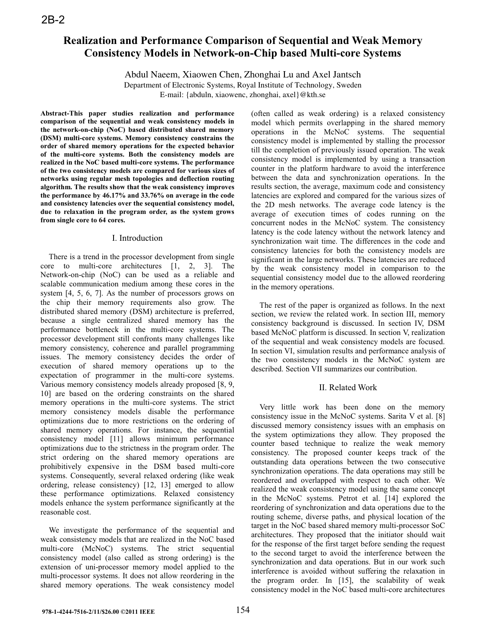# **Realization and Performance Comparison of Sequential and Weak Memory Consistency Models in Network-on-Chip based Multi-core Systems**

Abdul Naeem, Xiaowen Chen, Zhonghai Lu and Axel Jantsch

Department of Electronic Systems, Royal Institute of Technology, Sweden

E-mail: {abduln, xiaowenc, zhonghai, axel}@kth.se

**Abstract-This paper studies realization and performance comparison of the sequential and weak consistency models in the network-on-chip (NoC) based distributed shared memory (DSM) multi-core systems. Memory consistency constrains the order of shared memory operations for the expected behavior of the multi-core systems. Both the consistency models are realized in the NoC based multi-core systems. The performance of the two consistency models are compared for various sizes of networks using regular mesh topologies and deflection routing algorithm. The results show that the weak consistency improves the performance by 46.17% and 33.76% on average in the code and consistency latencies over the sequential consistency model, due to relaxation in the program order, as the system grows from single core to 64 cores.** 

## I. Introduction

There is a trend in the processor development from single core to multi-core architectures [1, 2, 3]. The Network-on-chip (NoC) can be used as a reliable and scalable communication medium among these cores in the system [4, 5, 6, 7]. As the number of processors grows on the chip their memory requirements also grow. The distributed shared memory (DSM) architecture is preferred, because a single centralized shared memory has the performance bottleneck in the multi-core systems. The processor development still confronts many challenges like memory consistency, coherence and parallel programming issues. The memory consistency decides the order of execution of shared memory operations up to the expectation of programmer in the multi-core systems. Various memory consistency models already proposed [8, 9, 10] are based on the ordering constraints on the shared memory operations in the multi-core systems. The strict memory consistency models disable the performance optimizations due to more restrictions on the ordering of shared memory operations. For instance, the sequential consistency model [11] allows minimum performance optimizations due to the strictness in the program order. The strict ordering on the shared memory operations are prohibitively expensive in the DSM based multi-core systems. Consequently, several relaxed ordering (like weak ordering, release consistency) [12, 13] emerged to allow these performance optimizations. Relaxed consistency models enhance the system performance significantly at the reasonable cost.

We investigate the performance of the sequential and weak consistency models that are realized in the NoC based multi-core (McNoC) systems. The strict sequential consistency model (also called as strong ordering) is the extension of uni-processor memory model applied to the multi-processor systems. It does not allow reordering in the shared memory operations. The weak consistency model

(often called as weak ordering) is a relaxed consistency model which permits overlapping in the shared memory operations in the McNoC systems. The sequential consistency model is implemented by stalling the processor till the completion of previously issued operation. The weak consistency model is implemented by using a transaction counter in the platform hardware to avoid the interference between the data and synchronization operations. In the results section, the average, maximum code and consistency latencies are explored and compared for the various sizes of the 2D mesh networks. The average code latency is the average of execution times of codes running on the concurrent nodes in the McNoC system. The consistency latency is the code latency without the network latency and synchronization wait time. The differences in the code and consistency latencies for both the consistency models are significant in the large networks. These latencies are reduced by the weak consistency model in comparison to the sequential consistency model due to the allowed reordering in the memory operations.

The rest of the paper is organized as follows. In the next section, we review the related work. In section III, memory consistency background is discussed. In section IV, DSM based McNoC platform is discussed. In section V, realization of the sequential and weak consistency models are focused. In section VI, simulation results and performance analysis of the two consistency models in the McNoC system are described. Section VII summarizes our contribution.

## II. Related Work

Very little work has been done on the memory consistency issue in the McNoC systems. Sarita V et al. [8] discussed memory consistency issues with an emphasis on the system optimizations they allow. They proposed the counter based technique to realize the weak memory consistency. The proposed counter keeps track of the outstanding data operations between the two consecutive synchronization operations. The data operations may still be reordered and overlapped with respect to each other. We realized the weak consistency model using the same concept in the McNoC systems. Petrot et al. [14] explored the reordering of synchronization and data operations due to the routing scheme, diverse paths, and physical location of the target in the NoC based shared memory multi-processor SoC architectures. They proposed that the initiator should wait for the response of the first target before sending the request to the second target to avoid the interference between the synchronization and data operations. But in our work such interference is avoided without suffering the relaxation in the program order. In [15], the scalability of weak consistency model in the NoC based multi-core architectures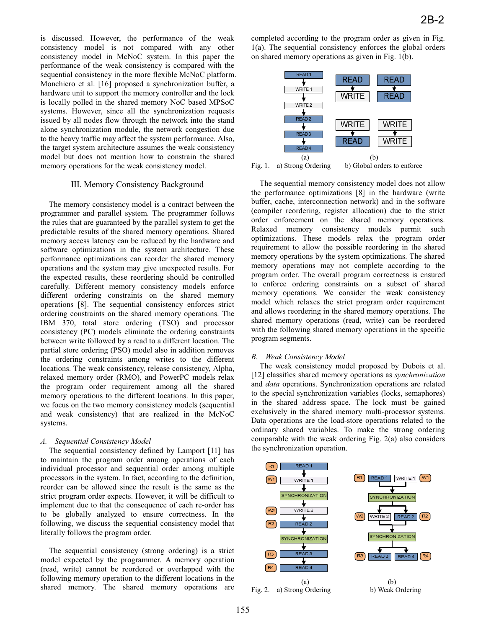is discussed. However, the performance of the weak consistency model is not compared with any other consistency model in McNoC system. In this paper the performance of the weak consistency is compared with the sequential consistency in the more flexible McNoC platform. Monchiero et al. [16] proposed a synchronization buffer, a hardware unit to support the memory controller and the lock is locally polled in the shared memory NoC based MPSoC systems. However, since all the synchronization requests issued by all nodes flow through the network into the stand alone synchronization module, the network congestion due to the heavy traffic may affect the system performance. Also, the target system architecture assumes the weak consistency model but does not mention how to constrain the shared memory operations for the weak consistency model.

#### III. Memory Consistency Background

The memory consistency model is a contract between the programmer and parallel system. The programmer follows the rules that are guaranteed by the parallel system to get the predictable results of the shared memory operations. Shared memory access latency can be reduced by the hardware and software optimizations in the system architecture. These performance optimizations can reorder the shared memory operations and the system may give unexpected results. For the expected results, these reordering should be controlled carefully. Different memory consistency models enforce different ordering constraints on the shared memory operations [8]. The sequential consistency enforces strict ordering constraints on the shared memory operations. The IBM 370, total store ordering (TSO) and processor consistency (PC) models eliminate the ordering constraints between write followed by a read to a different location. The partial store ordering (PSO) model also in addition removes the ordering constraints among writes to the different locations. The weak consistency, release consistency, Alpha, relaxed memory order (RMO), and PowerPC models relax the program order requirement among all the shared memory operations to the different locations. In this paper, we focus on the two memory consistency models (sequential and weak consistency) that are realized in the McNoC systems.

#### *A. Sequential Consistency Model*

The sequential consistency defined by Lamport [11] has to maintain the program order among operations of each individual processor and sequential order among multiple processors in the system. In fact, according to the definition, reorder can be allowed since the result is the same as the strict program order expects. However, it will be difficult to implement due to that the consequence of each re-order has to be globally analyzed to ensure correctness. In the following, we discuss the sequential consistency model that literally follows the program order.

The sequential consistency (strong ordering) is a strict model expected by the programmer. A memory operation (read, write) cannot be reordered or overlapped with the following memory operation to the different locations in the shared memory. The shared memory operations are

completed according to the program order as given in Fig. 1(a). The sequential consistency enforces the global orders on shared memory operations as given in Fig. 1(b).



The sequential memory consistency model does not allow the performance optimizations [8] in the hardware (write buffer, cache, interconnection network) and in the software (compiler reordering, register allocation) due to the strict order enforcement on the shared memory operations. Relaxed memory consistency models permit such optimizations. These models relax the program order requirement to allow the possible reordering in the shared memory operations by the system optimizations. The shared memory operations may not complete according to the program order. The overall program correctness is ensured to enforce ordering constraints on a subset of shared memory operations. We consider the weak consistency model which relaxes the strict program order requirement and allows reordering in the shared memory operations. The shared memory operations (read, write) can be reordered with the following shared memory operations in the specific program segments.

#### *B. Weak Consistency Model*

The weak consistency model proposed by Dubois et al. [12] classifies shared memory operations as *synchronization* and *data* operations. Synchronization operations are related to the special synchronization variables (locks, semaphores) in the shared address space. The lock must be gained exclusively in the shared memory multi-processor systems. Data operations are the load-store operations related to the ordinary shared variables. To make the strong ordering comparable with the weak ordering Fig. 2(a) also considers the synchronization operation.

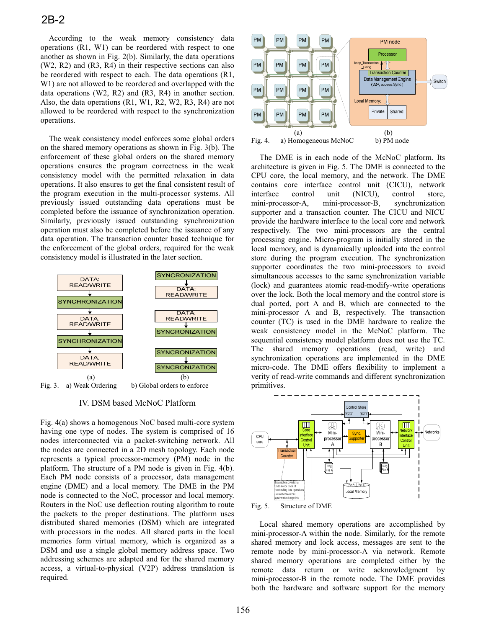## 2B-2

According to the weak memory consistency data operations (R1, W1) can be reordered with respect to one another as shown in Fig. 2(b). Similarly, the data operations (W2, R2) and (R3, R4) in their respective sections can also be reordered with respect to each. The data operations (R1, W1) are not allowed to be reordered and overlapped with the data operations (W2, R2) and (R3, R4) in another section. Also, the data operations (R1, W1, R2, W2, R3, R4) are not allowed to be reordered with respect to the synchronization operations.

The weak consistency model enforces some global orders on the shared memory operations as shown in Fig. 3(b). The enforcement of these global orders on the shared memory operations ensures the program correctness in the weak consistency model with the permitted relaxation in data operations. It also ensures to get the final consistent result of the program execution in the multi-processor systems. All previously issued outstanding data operations must be completed before the issuance of synchronization operation. Similarly, previously issued outstanding synchronization operation must also be completed before the issuance of any data operation. The transaction counter based technique for the enforcement of the global orders, required for the weak consistency model is illustrated in the later section.



IV. DSM based McNoC Platform

Fig. 4(a) shows a homogenous NoC based multi-core system having one type of nodes. The system is comprised of 16 nodes interconnected via a packet-switching network. All the nodes are connected in a 2D mesh topology. Each node represents a typical processor-memory (PM) node in the platform. The structure of a PM node is given in Fig. 4(b). Each PM node consists of a processor, data management engine (DME) and a local memory. The DME in the PM node is connected to the NoC, processor and local memory. Routers in the NoC use deflection routing algorithm to route the packets to the proper destinations. The platform uses distributed shared memories (DSM) which are integrated with processors in the nodes. All shared parts in the local memories form virtual memory, which is organized as a DSM and use a single global memory address space. Two addressing schemes are adapted and for the shared memory access, a virtual-to-physical (V2P) address translation is required.



Fig. 4. a) Homogeneous McNoC b) PM node

The DME is in each node of the McNoC platform. Its architecture is given in Fig. 5. The DME is connected to the CPU core, the local memory, and the network. The DME contains core interface control unit (CICU), network interface control unit (NICU), control store, mini-processor-A, mini-processor-B, synchronization supporter and a transaction counter. The CICU and NICU provide the hardware interface to the local core and network respectively. The two mini-processors are the central processing engine. Micro-program is initially stored in the local memory, and is dynamically uploaded into the control store during the program execution. The synchronization supporter coordinates the two mini-processors to avoid simultaneous accesses to the same synchronization variable (lock) and guarantees atomic read-modify-write operations over the lock. Both the local memory and the control store is dual ported, port A and B, which are connected to the mini-processor A and B, respectively. The transaction counter (TC) is used in the DME hardware to realize the weak consistency model in the McNoC platform. The sequential consistency model platform does not use the TC. The shared memory operations (read, write) and synchronization operations are implemented in the DME micro-code. The DME offers flexibility to implement a verity of read-write commands and different synchronization primitives.



Local shared memory operations are accomplished by mini-processor-A within the node. Similarly, for the remote shared memory and lock access, messages are sent to the remote node by mini-processor-A via network. Remote shared memory operations are completed either by the remote data return or write acknowledgment by mini-processor-B in the remote node. The DME provides both the hardware and software support for the memory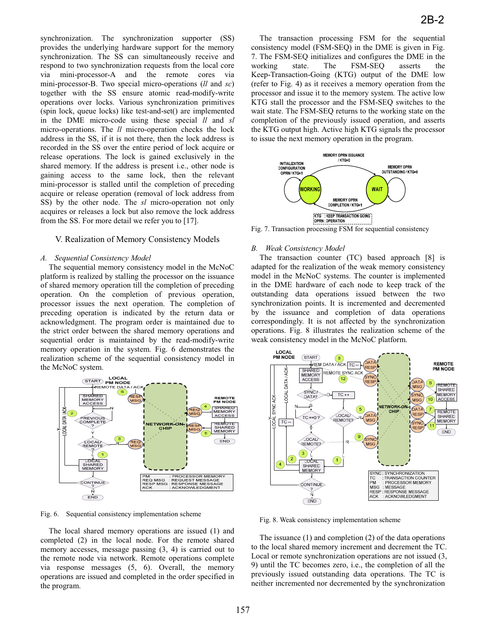synchronization. The synchronization supporter (SS) provides the underlying hardware support for the memory synchronization. The SS can simultaneously receive and respond to two synchronization requests from the local core via mini-processor-A and the remote cores via mini-processor-B. Two special micro-operations (*ll* and *sc*) together with the SS ensure atomic read-modify-write operations over locks. Various synchronization primitives (spin lock, queue locks) like test-and-set() are implemented in the DME micro-code using these special *ll* and *sl* micro-operations. The *ll* micro-operation checks the lock address in the SS, if it is not there, then the lock address is recorded in the SS over the entire period of lock acquire or release operations. The lock is gained exclusively in the shared memory. If the address is present i.e., other node is gaining access to the same lock, then the relevant mini-processor is stalled until the completion of preceding acquire or release operation (removal of lock address from SS) by the other node. The *sl* micro-operation not only acquires or releases a lock but also remove the lock address from the SS. For more detail we refer you to [17].

#### V. Realization of Memory Consistency Models

#### *A. Sequential Consistency Model*

The sequential memory consistency model in the McNoC platform is realized by stalling the processor on the issuance of shared memory operation till the completion of preceding operation. On the completion of previous operation, processor issues the next operation. The completion of preceding operation is indicated by the return data or acknowledgment. The program order is maintained due to the strict order between the shared memory operations and sequential order is maintained by the read-modify-write memory operation in the system. Fig. 6 demonstrates the realization scheme of the sequential consistency model in the McNoC system.



Fig. 6. Sequential consistency implementation scheme

The local shared memory operations are issued (1) and completed (2) in the local node. For the remote shared memory accesses, message passing (3, 4) is carried out to the remote node via network. Remote operations complete via response messages (5, 6). Overall, the memory operations are issued and completed in the order specified in the program.

The transaction processing FSM for the sequential consistency model (FSM-SEQ) in the DME is given in Fig. 7. The FSM-SEQ initializes and configures the DME in the working state. The FSM-SEQ asserts the Keep-Transaction-Going (KTG) output of the DME low (refer to Fig. 4) as it receives a memory operation from the processor and issue it to the memory system. The active low KTG stall the processor and the FSM-SEQ switches to the wait state. The FSM-SEQ returns to the working state on the completion of the previously issued operation, and asserts the KTG output high. Active high KTG signals the processor to issue the next memory operation in the program.



Fig. 7. Transaction processing FSM for sequential consistency

## *B. Weak Consistency Model*

The transaction counter (TC) based approach [8] is adapted for the realization of the weak memory consistency model in the McNoC systems. The counter is implemented in the DME hardware of each node to keep track of the outstanding data operations issued between the two synchronization points. It is incremented and decremented by the issuance and completion of data operations correspondingly. It is not affected by the synchronization operations. Fig. 8 illustrates the realization scheme of the weak consistency model in the McNoC platform.



Fig. 8. Weak consistency implementation scheme

The issuance (1) and completion (2) of the data operations to the local shared memory increment and decrement the TC. Local or remote synchronization operations are not issued (3, 9) until the TC becomes zero, i.e., the completion of all the previously issued outstanding data operations. The TC is neither incremented nor decremented by the synchronization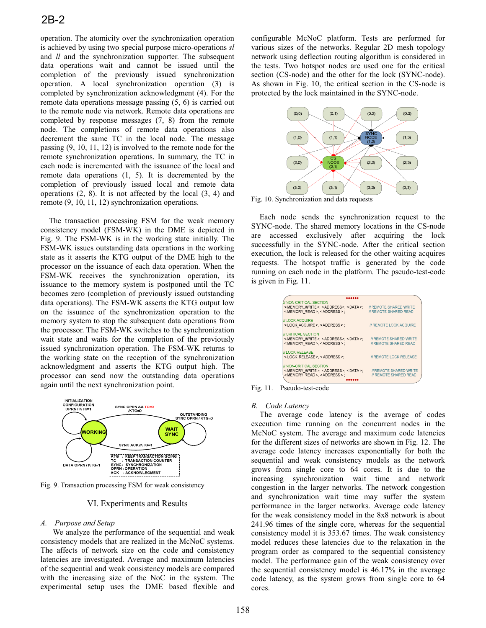operation. The atomicity over the synchronization operation is achieved by using two special purpose micro-operations *sl* and *ll* and the synchronization supporter. The subsequent data operations wait and cannot be issued until the completion of the previously issued synchronization operation. A local synchronization operation (3) is completed by synchronization acknowledgment (4). For the remote data operations message passing (5, 6) is carried out to the remote node via network. Remote data operations are completed by response messages (7, 8) from the remote node. The completions of remote data operations also decrement the same TC in the local node. The message passing (9, 10, 11, 12) is involved to the remote node for the remote synchronization operations. In summary, the TC in each node is incremented with the issuance of the local and remote data operations (1, 5). It is decremented by the completion of previously issued local and remote data operations (2, 8). It is not affected by the local (3, 4) and remote (9, 10, 11, 12) synchronization operations.

The transaction processing FSM for the weak memory consistency model (FSM-WK) in the DME is depicted in Fig. 9. The FSM-WK is in the working state initially. The FSM-WK issues outstanding data operations in the working state as it asserts the KTG output of the DME high to the processor on the issuance of each data operation. When the FSM-WK receives the synchronization operation, its issuance to the memory system is postponed until the TC becomes zero (completion of previously issued outstanding data operations). The FSM-WK asserts the KTG output low on the issuance of the synchronization operation to the memory system to stop the subsequent data operations from the processor. The FSM-WK switches to the synchronization wait state and waits for the completion of the previously issued synchronization operation. The FSM-WK returns to the working state on the reception of the synchronization acknowledgment and asserts the KTG output high. The processor can send now the outstanding data operations again until the next synchronization point.



Fig. 9. Transaction processing FSM for weak consistency

## VI. Experiments and Results

## *A. Purpose and Setup*

We analyze the performance of the sequential and weak consistency models that are realized in the McNoC systems. The affects of network size on the code and consistency latencies are investigated. Average and maximum latencies of the sequential and weak consistency models are compared with the increasing size of the NoC in the system. The experimental setup uses the DME based flexible and

configurable McNoC platform. Tests are performed for various sizes of the networks. Regular 2D mesh topology network using deflection routing algorithm is considered in the tests. Two hotspot nodes are used one for the critical section (CS-node) and the other for the lock (SYNC-node). As shown in Fig. 10, the critical section in the CS-node is protected by the lock maintained in the SYNC-node.



Fig. 10. Synchronization and data requests

Each node sends the synchronization request to the SYNC-node. The shared memory locations in the CS-node are accessed exclusively after acquiring the lock successfully in the SYNC-node. After the critical section execution, the lock is released for the other waiting acquires requests. The hotspot traffic is generated by the code running on each node in the platform. The pseudo-test-code is given in Fig. 11.

| <b>III NON-CRITICAL SECTION</b><br><memory write="">, <address>, <data>; // REMOTE SHARED WRITE<br/><memory read=""> <address> ;</address></memory></data></address></memory> | <b>I/ REMOTE SHARED READ</b>                                         |
|-------------------------------------------------------------------------------------------------------------------------------------------------------------------------------|----------------------------------------------------------------------|
| <b>//LOCK ACQUIRE</b><br><lock_acquire>, <address> ;</address></lock_acquire>                                                                                                 | <b><i>II</i>REMOTE LOCK ACQUIRE</b>                                  |
| <b>// CRITICAL SECTION</b><br><memory write="">, <address>, <data>;<br/><memory read=""> <address> :</address></memory></data></address></memory>                             | <b>I/REMOTE SHARED WRITE</b><br><b>I/REMOTE SHARED READ</b>          |
| <b>//LOCK RELEASE</b><br><lock release="">, <address>;</address></lock>                                                                                                       | <b>I/REMOTE LOCK RELEASE</b>                                         |
| //NON-CRITICAL SECTION<br>< MEMORY WRITE >, < ADDRESS >, < DATA >;<br><memory read="">, <address>;</address></memory>                                                         | <b><i>II</i></b> REMOTE SHARED WRITE<br><b>II REMOTE SHARED READ</b> |

Fig. 11. Pseudo-test-code

## *B. Code Latency*

The average code latency is the average of codes execution time running on the concurrent nodes in the McNoC system. The average and maximum code latencies for the different sizes of networks are shown in Fig. 12. The average code latency increases exponentially for both the sequential and weak consistency models as the network grows from single core to 64 cores. It is due to the increasing synchronization wait time and network congestion in the larger networks. The network congestion and synchronization wait time may suffer the system performance in the larger networks. Average code latency for the weak consistency model in the 8x8 network is about 241.96 times of the single core, whereas for the sequential consistency model it is 353.67 times. The weak consistency model reduces these latencies due to the relaxation in the program order as compared to the sequential consistency model. The performance gain of the weak consistency over the sequential consistency model is 46.17% in the average code latency, as the system grows from single core to 64 cores.